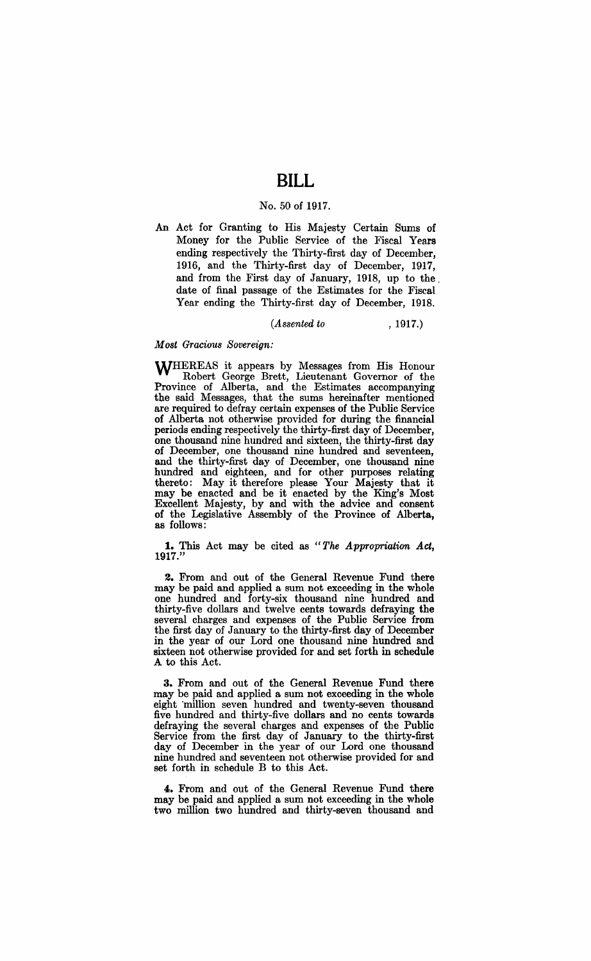# **BILL**

### No. 50 of 1917.

An Act for Granting to His Majesty Certain Sums of Money for the Public Service of the Fiscal Years ending respectively the Thirty-first day of December, 1916, and the Thirty-first day of December, 1917, and from the First day of January, 1918, up to the. date of final passage of the Estimates for the Fiscal Year ending the Thirty-first day of December, 1918.

### *(Assented to* , 1917.)

#### *Most Gracious Sovereign:*

WHEREAS it appears by Messages from His Honour Robert George Brett, Lieutenant Governor of the Province of Alberta, and the Estimates accompanying the said Messages, that the sums hereinafter mentioned are required to defray certain expenses of the Public Service of Alberta not otherwise provided for during the financial periods ending respectively the thirty-first day of December, one thousand nine hundred and sixteen, the thirty-first day of December, one thousand nine hundred and seventeen, and the thirty-first day of December, one thousand nine hundred and eighteen, and for other purposes relating thereto: May it therefore please Your Majesty that it may be enacted and be it enacted by the King's Most Excellent Majesty, by and with the advice and consent of the Legislative Assembly of the Province of Alberta, as follows:

**1.** This Act may be cited as *"The Appropriation Act,*  1917."

**2.** From and out of the General Revenue Fund there may be paid and applied a sum not exceeding in the whole one hundred and forty-six thousand nine hundred and thirty-five dollars and twelve cents towards defraying the several charges and expenses of the Public Service from the first day of January to the thirty-first day of December in the year of our Lord one thousand nine hundred and sixteen not otherwise provided for and set forth in schedule A to this Act.

**3.** From and out of the General Revenue Fund there may be paid and applied a sum not exceeding in the whole eight 'million seven hundred and twenty-seven thousand five hundred and thirty-five dollars and no cents towards defraying the several charges and expenses of the Public Service from the first day of January to the thirty-first day of December in the year of our Lord one thousand nine hundred and seventeen not otherwise provided for and set forth in schedule B to this Act.

4. From and out of the General Revenue Fund there may be paid and applied a sum not exceeding in the whole two million two hundred and thirty-seven thousand and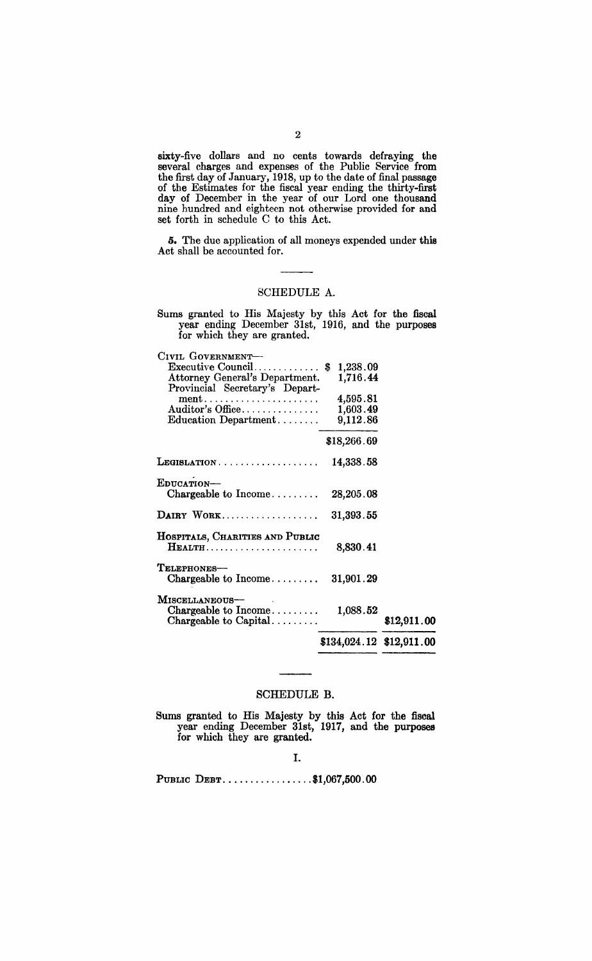sixty-five dollars and no cents towards defraying the several charges and expenses of the Public Service from the first day of January, 1918, up to the date of final passage of the Estimates for the fiscal year ending the thirty-first day of December in the year of our Lord one thousand nine hundred and eighteen not otherwise provided for nnd set forth in schedule C to this Act.

5. The due application of all moneys expended under this Act shall be accounted for.

### SCHEDULE A.

Sums granted to His Majesty by this Act for the fiscal year ending December 31st, 1916, and the purposes for which they are granted.

| Executive Council\$        |                                                           |
|----------------------------|-----------------------------------------------------------|
| 1,716.44                   |                                                           |
|                            |                                                           |
|                            |                                                           |
|                            |                                                           |
| 9,112.86                   |                                                           |
| \$18,266.69                |                                                           |
| 14,338.58                  |                                                           |
|                            |                                                           |
|                            |                                                           |
| 31,393.55                  |                                                           |
|                            |                                                           |
| 8,830.41                   |                                                           |
|                            |                                                           |
| 31,901.29                  |                                                           |
|                            |                                                           |
|                            |                                                           |
|                            | \$12,911.00                                               |
| $$134,024.12$ $$12,911.00$ |                                                           |
|                            | 1,238.09<br>4,595.81<br>1,603.49<br>28,205.08<br>1,088.52 |

### SCHEDULE B.

Sums granted to His Majesty by this Act for the fiscal year ending December 31st, 1917, and the purposes for which they are granted.

PUBLIC DEBT................\$1,067,500.00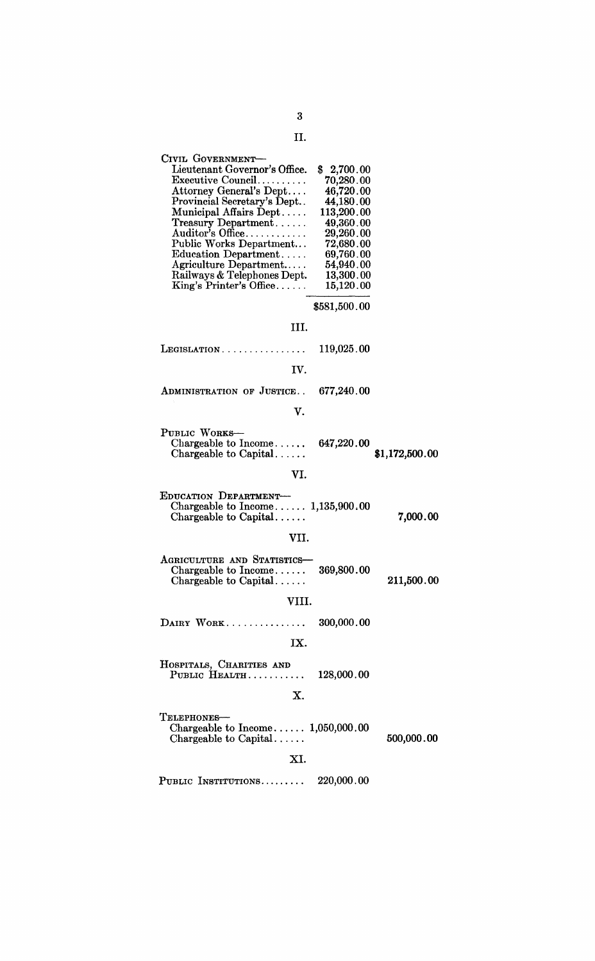# 3 II.

| CIVIL GOVERNMENT-                                |              |                |
|--------------------------------------------------|--------------|----------------|
| Lieutenant Governor's Office.                    | \$2,700.00   |                |
| Executive Council                                | 70,280.00    |                |
| Attorney General's Dept                          | 46,720.00    |                |
| Provincial Secretary's Dept                      | 44,180.00    |                |
| Municipal Affairs Dept                           | 113,200.00   |                |
| $T$ reasury Department                           | 49,360.00    |                |
| $\Lambda$ uditor's Office                        | 29,260.00    |                |
| Public Works Department                          | 72,680.00    |                |
| Education Department                             | 69,760.00    |                |
| Agriculture Department                           | 54,940.00    |                |
| Railways & Telephones Dept.                      | 13,300.00    |                |
| King's Printer's Office                          | 15,120.00    |                |
|                                                  |              |                |
|                                                  | \$581,500.00 |                |
| III.                                             |              |                |
| $LEGISLATION \ldots \ldots \ldots \ldots \ldots$ | 119,025.00   |                |
| IV.                                              |              |                |
| ADMINISTRATION OF JUSTICE                        | 677,240.00   |                |
|                                                  |              |                |
| V.                                               |              |                |
| PUBLIC WORKS-                                    |              |                |
| Chargeable to $Income \ldots$ .                  | 647,220.00   | \$1,172,500.00 |
| Chargeable to Capital                            |              |                |
| VI.                                              |              |                |
| EDUCATION DEPARTMENT-                            |              |                |
| Chargeable to Income $1,135,900.00$              |              |                |
| Chargeable to Capital                            |              | 7,000.00       |
|                                                  |              |                |
| VII.                                             |              |                |
| AGRICULTURE AND STATISTICS-                      |              |                |
| Chargeable to Income                             | 369,800.00   |                |
| Chargeable to Capital                            |              | 211,500.00     |
|                                                  |              |                |
| VIII.                                            |              |                |
| DAIRY WORK                                       | 300,000.00   |                |
| IX.                                              |              |                |
|                                                  |              |                |
| HOSPITALS, CHARITIES AND<br>PUBLIC HEALTH        | 128,000.00   |                |
|                                                  |              |                |
| Х.                                               |              |                |
| TELEPHONES-                                      |              |                |
| Chargeable to Income $1,050,000.00$              |              |                |
| Chargeable to Capital                            |              | 500,000.00     |
| XI.                                              |              |                |
|                                                  |              |                |
| PUBLIC INSTITUTIONS                              | 220,000.00   |                |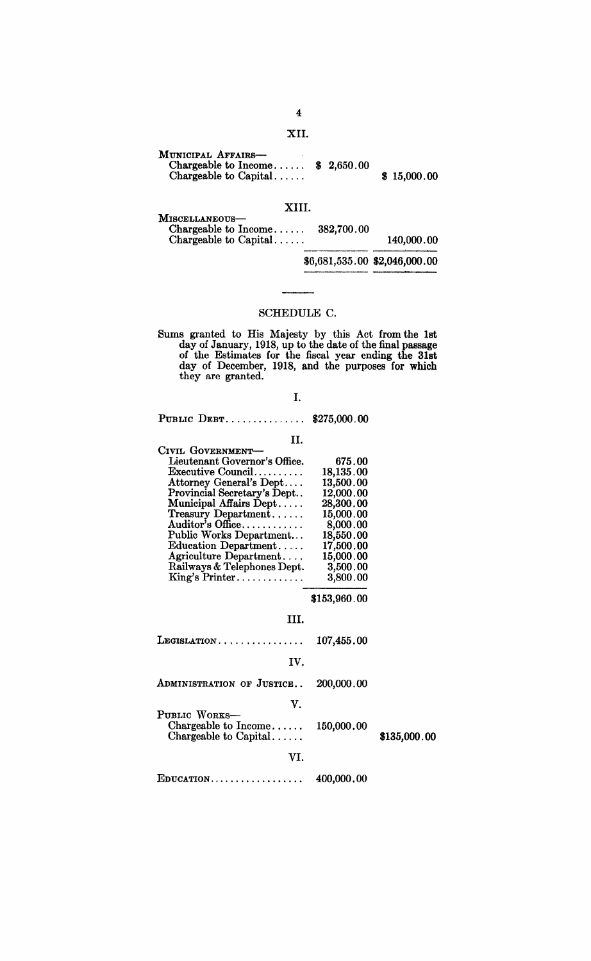## XII.

| MUNICIPAL AFFAIRS-<br>Chargeable to Income $$2,650.00$ |  |  |             |
|--------------------------------------------------------|--|--|-------------|
| Chargeable to Capital                                  |  |  | \$15,000.00 |

### XIII.

| 140,000.00                                                                                              |
|---------------------------------------------------------------------------------------------------------|
|                                                                                                         |
| Chargeable to $Income \ldots$ .<br>382,700.00<br>Chargeable to Capital<br>\$6,681,535.00 \$2,046,000.00 |

## SCHEDULE C.

Sums granted to His Majesty by this Act from the 1st day of January, 1918, up to the date of the final passage of the Estimates for the fiscal year ending the 31st day of December, 1918, and the purposes for which they are granted.

I.

PUBLIC DEBT............... \$275,000.00

| H.                                   |           |
|--------------------------------------|-----------|
| CIVIL GOVERNMENT-                    |           |
| Lieutenant Governor's Office.        | 675.00    |
| $\text{Execute Council} \dots \dots$ | 18,135.00 |
| Attorney General's Dept              | 13,500.00 |
| Provincial Secretary's Dept          | 12,000.00 |
| Municipal Affairs Dept               | 28,300.00 |
| Treasury Department                  | 15,000.00 |
| Auditor's Office                     | 8,000.00  |
| Public Works Department              | 18,550.00 |
| Education Department                 | 17,500.00 |
| Agriculture Department               | 15,000.00 |
| Railways & Telephones Dept.          | 3,500.00  |
| King's Printer                       | 3,800.00  |

\$153,960.00

| LEGISLATION                                                                       | 107,455.00 |              |
|-----------------------------------------------------------------------------------|------------|--------------|
| IV.                                                                               |            |              |
| ADMINISTRATION OF JUSTICE                                                         | 200,000.00 |              |
| V.<br>PUBLIC WORKS-<br>Chargeable to Income $150,000.00$<br>Chargeable to Capital |            | \$135,000.00 |
| VI.                                                                               |            |              |
| $E$ DUCATION                                                                      | 400,000.00 |              |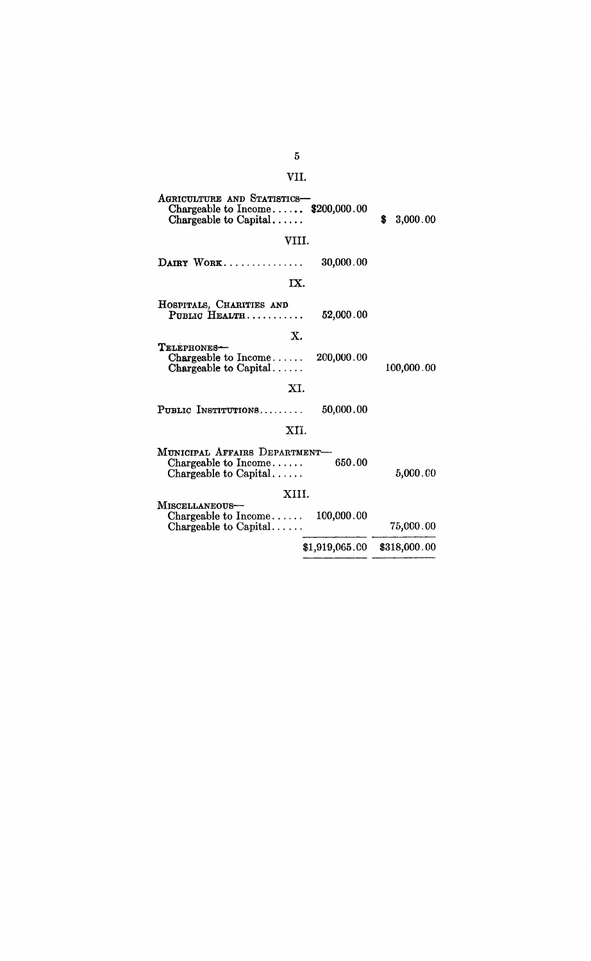| VII.                                                                                       |                |                |
|--------------------------------------------------------------------------------------------|----------------|----------------|
| AGRICULTURE AND STATISTICS-<br>Chargeable to Income $$200,000.00$<br>Chargeable to Capital |                | \$<br>3,000.00 |
| VIII.                                                                                      |                |                |
| DAIRY WORK                                                                                 | 30,000.00      |                |
| IX.                                                                                        |                |                |
| HOSPITALS, CHARITIES AND<br>PUBLIC HEALTH                                                  | 52,000.00      |                |
| $\mathbf{X}$ .<br>TELEPHONES-<br>Chargeable to $Income \ldots$ .<br>Chargeable to Capital  | 200,000.00     | 100,000.00     |
| XI.                                                                                        |                |                |
| PUBLIC INSTITUTIONS                                                                        | 50,000.00      |                |
| XII.                                                                                       |                |                |
| MUNICIPAL AFFAIRS DEPARTMENT-<br>Chargeable to $Income \ldots$ .<br>Chargeable to Capital  | 650.00         | 5,000.00       |
| XIII.<br>MISCELLANEOUS-                                                                    |                |                |
| $\text{Changeable to Income} \dots$<br>Chargeable to Capital                               | 100,000.00     | 75,000.00      |
|                                                                                            | \$1,919,065.00 | \$318,000.00   |
|                                                                                            |                |                |

 $\overline{5}$